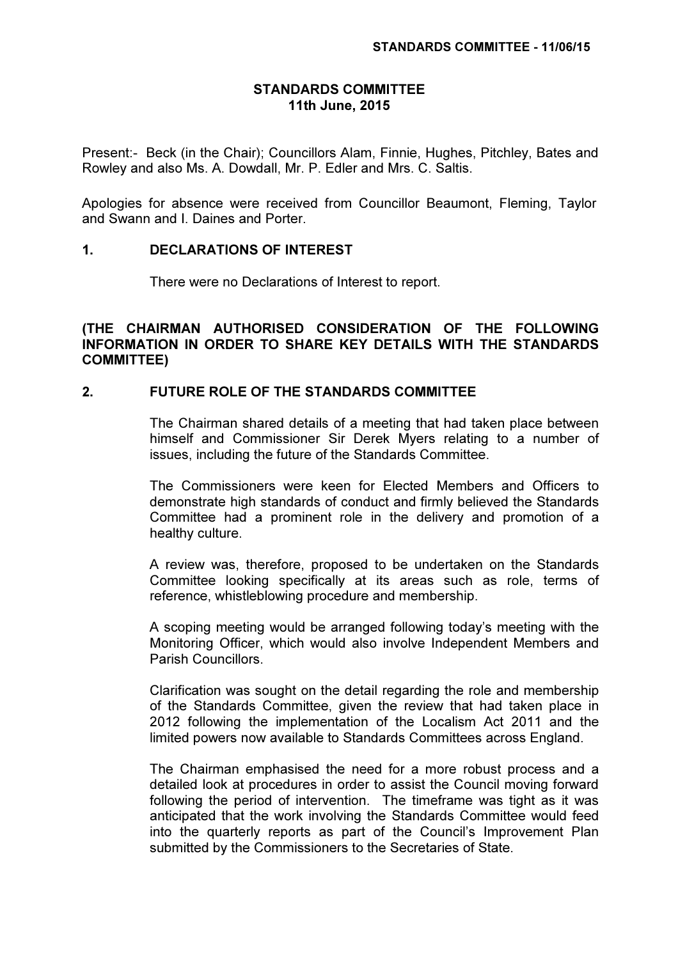#### STANDARDS COMMITTEE 11th June, 2015

Present:- Beck (in the Chair); Councillors Alam, Finnie, Hughes, Pitchley, Bates and Rowley and also Ms. A. Dowdall, Mr. P. Edler and Mrs. C. Saltis.

Apologies for absence were received from Councillor Beaumont, Fleming, Taylor and Swann and I. Daines and Porter.

## 1. DECLARATIONS OF INTEREST

There were no Declarations of Interest to report.

## (THE CHAIRMAN AUTHORISED CONSIDERATION OF THE FOLLOWING INFORMATION IN ORDER TO SHARE KEY DETAILS WITH THE STANDARDS COMMITTEE)

## 2. FUTURE ROLE OF THE STANDARDS COMMITTEE

 The Chairman shared details of a meeting that had taken place between himself and Commissioner Sir Derek Myers relating to a number of issues, including the future of the Standards Committee.

The Commissioners were keen for Elected Members and Officers to demonstrate high standards of conduct and firmly believed the Standards Committee had a prominent role in the delivery and promotion of a healthy culture.

A review was, therefore, proposed to be undertaken on the Standards Committee looking specifically at its areas such as role, terms of reference, whistleblowing procedure and membership.

A scoping meeting would be arranged following today's meeting with the Monitoring Officer, which would also involve Independent Members and Parish Councillors.

Clarification was sought on the detail regarding the role and membership of the Standards Committee, given the review that had taken place in 2012 following the implementation of the Localism Act 2011 and the limited powers now available to Standards Committees across England.

The Chairman emphasised the need for a more robust process and a detailed look at procedures in order to assist the Council moving forward following the period of intervention. The timeframe was tight as it was anticipated that the work involving the Standards Committee would feed into the quarterly reports as part of the Council's Improvement Plan submitted by the Commissioners to the Secretaries of State.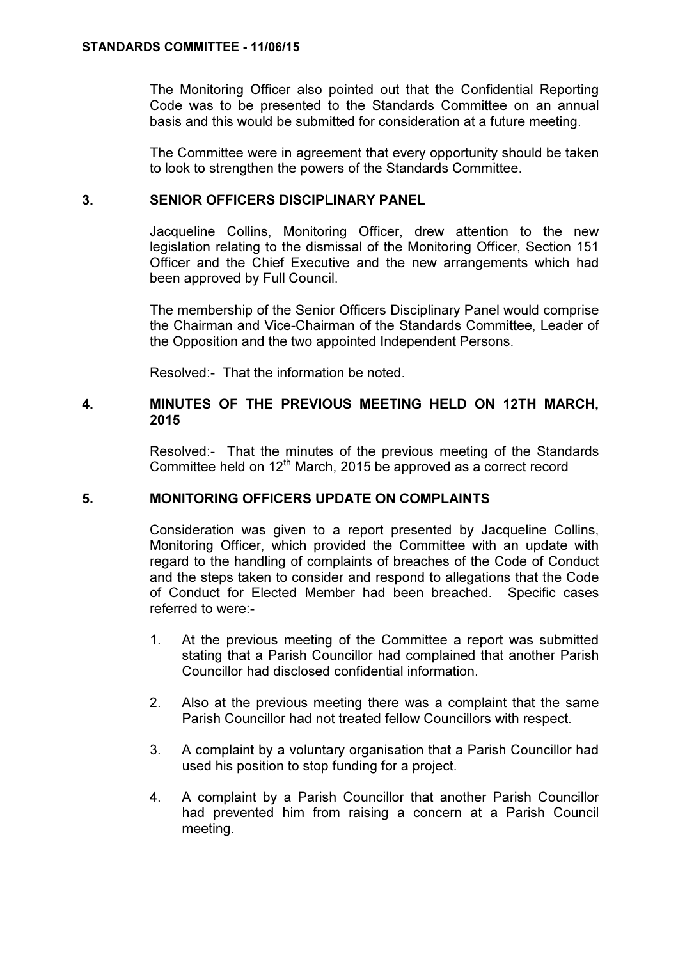The Monitoring Officer also pointed out that the Confidential Reporting Code was to be presented to the Standards Committee on an annual basis and this would be submitted for consideration at a future meeting.

The Committee were in agreement that every opportunity should be taken to look to strengthen the powers of the Standards Committee.

## 3. SENIOR OFFICERS DISCIPLINARY PANEL

 Jacqueline Collins, Monitoring Officer, drew attention to the new legislation relating to the dismissal of the Monitoring Officer, Section 151 Officer and the Chief Executive and the new arrangements which had been approved by Full Council.

The membership of the Senior Officers Disciplinary Panel would comprise the Chairman and Vice-Chairman of the Standards Committee, Leader of the Opposition and the two appointed Independent Persons.

Resolved:- That the information be noted.

### 4. MINUTES OF THE PREVIOUS MEETING HELD ON 12TH MARCH, 2015

 Resolved:- That the minutes of the previous meeting of the Standards Committee held on  $12<sup>th</sup>$  March, 2015 be approved as a correct record

## 5. MONITORING OFFICERS UPDATE ON COMPLAINTS

 Consideration was given to a report presented by Jacqueline Collins, Monitoring Officer, which provided the Committee with an update with regard to the handling of complaints of breaches of the Code of Conduct and the steps taken to consider and respond to allegations that the Code of Conduct for Elected Member had been breached. Specific cases referred to were:-

- 1. At the previous meeting of the Committee a report was submitted stating that a Parish Councillor had complained that another Parish Councillor had disclosed confidential information.
- 2. Also at the previous meeting there was a complaint that the same Parish Councillor had not treated fellow Councillors with respect.
- 3. A complaint by a voluntary organisation that a Parish Councillor had used his position to stop funding for a project.
- 4. A complaint by a Parish Councillor that another Parish Councillor had prevented him from raising a concern at a Parish Council meeting.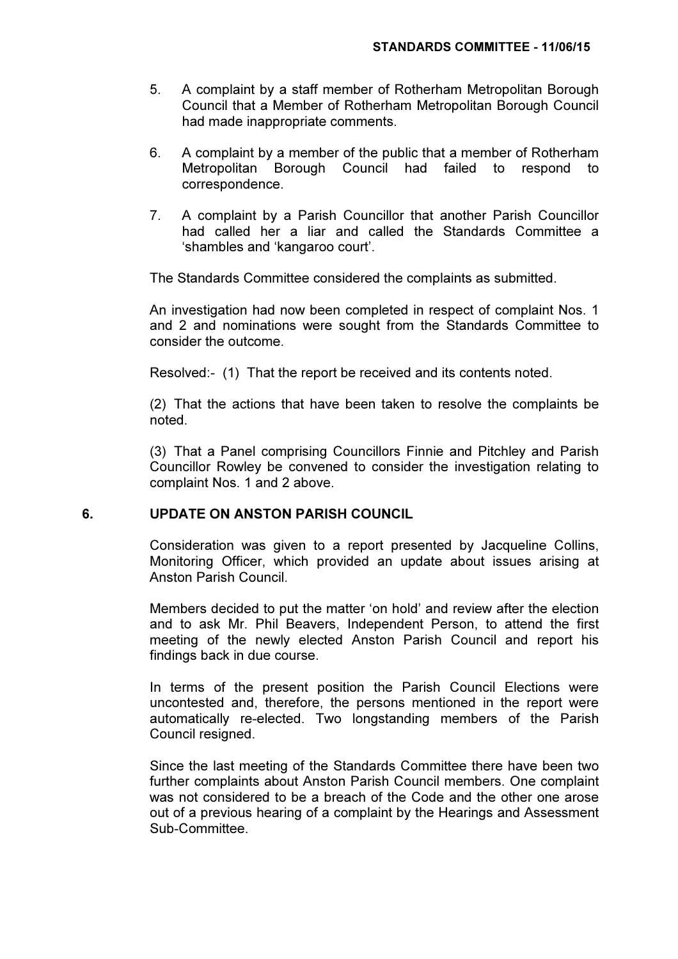- 5. A complaint by a staff member of Rotherham Metropolitan Borough Council that a Member of Rotherham Metropolitan Borough Council had made inappropriate comments.
- 6. A complaint by a member of the public that a member of Rotherham Metropolitan Borough Council had failed to respond to correspondence.
- 7. A complaint by a Parish Councillor that another Parish Councillor had called her a liar and called the Standards Committee a 'shambles and 'kangaroo court'.

The Standards Committee considered the complaints as submitted.

An investigation had now been completed in respect of complaint Nos. 1 and 2 and nominations were sought from the Standards Committee to consider the outcome.

Resolved:- (1) That the report be received and its contents noted.

(2) That the actions that have been taken to resolve the complaints be noted.

(3) That a Panel comprising Councillors Finnie and Pitchley and Parish Councillor Rowley be convened to consider the investigation relating to complaint Nos. 1 and 2 above.

## 6. UPDATE ON ANSTON PARISH COUNCIL

 Consideration was given to a report presented by Jacqueline Collins, Monitoring Officer, which provided an update about issues arising at Anston Parish Council.

Members decided to put the matter 'on hold' and review after the election and to ask Mr. Phil Beavers, Independent Person, to attend the first meeting of the newly elected Anston Parish Council and report his findings back in due course.

In terms of the present position the Parish Council Elections were uncontested and, therefore, the persons mentioned in the report were automatically re-elected. Two longstanding members of the Parish Council resigned.

Since the last meeting of the Standards Committee there have been two further complaints about Anston Parish Council members. One complaint was not considered to be a breach of the Code and the other one arose out of a previous hearing of a complaint by the Hearings and Assessment Sub-Committee.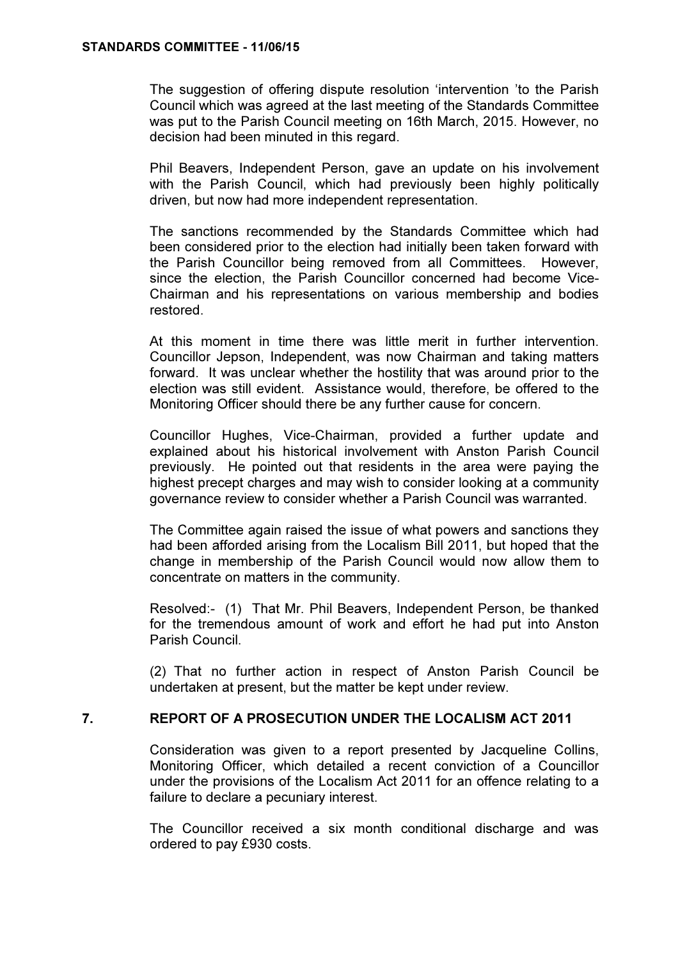The suggestion of offering dispute resolution 'intervention 'to the Parish Council which was agreed at the last meeting of the Standards Committee was put to the Parish Council meeting on 16th March, 2015. However, no decision had been minuted in this regard.

Phil Beavers, Independent Person, gave an update on his involvement with the Parish Council, which had previously been highly politically driven, but now had more independent representation.

The sanctions recommended by the Standards Committee which had been considered prior to the election had initially been taken forward with the Parish Councillor being removed from all Committees. However, since the election, the Parish Councillor concerned had become Vice-Chairman and his representations on various membership and bodies restored.

At this moment in time there was little merit in further intervention. Councillor Jepson, Independent, was now Chairman and taking matters forward. It was unclear whether the hostility that was around prior to the election was still evident. Assistance would, therefore, be offered to the Monitoring Officer should there be any further cause for concern.

Councillor Hughes, Vice-Chairman, provided a further update and explained about his historical involvement with Anston Parish Council previously. He pointed out that residents in the area were paying the highest precept charges and may wish to consider looking at a community governance review to consider whether a Parish Council was warranted.

The Committee again raised the issue of what powers and sanctions they had been afforded arising from the Localism Bill 2011, but hoped that the change in membership of the Parish Council would now allow them to concentrate on matters in the community.

Resolved:- (1) That Mr. Phil Beavers, Independent Person, be thanked for the tremendous amount of work and effort he had put into Anston Parish Council.

(2) That no further action in respect of Anston Parish Council be undertaken at present, but the matter be kept under review.

## 7. REPORT OF A PROSECUTION UNDER THE LOCALISM ACT 2011

 Consideration was given to a report presented by Jacqueline Collins, Monitoring Officer, which detailed a recent conviction of a Councillor under the provisions of the Localism Act 2011 for an offence relating to a failure to declare a pecuniary interest.

The Councillor received a six month conditional discharge and was ordered to pay £930 costs.